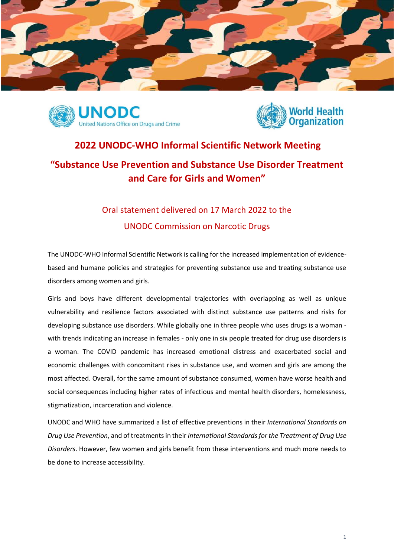





## **2022 UNODC-WHO Informal Scientific Network Meeting "Substance Use Prevention and Substance Use Disorder Treatment and Care for Girls and Women"**

## Oral statement delivered on 17 March 2022 to the UNODC Commission on Narcotic Drugs

The UNODC-WHO Informal Scientific Network is calling for the increased implementation of evidencebased and humane policies and strategies for preventing substance use and treating substance use disorders among women and girls.

Girls and boys have different developmental trajectories with overlapping as well as unique vulnerability and resilience factors associated with distinct substance use patterns and risks for developing substance use disorders. While globally one in three people who uses drugs is a woman with trends indicating an increase in females - only one in six people treated for drug use disorders is a woman. The COVID pandemic has increased emotional distress and exacerbated social and economic challenges with concomitant rises in substance use, and women and girls are among the most affected. Overall, for the same amount of substance consumed, women have worse health and social consequences including higher rates of infectious and mental health disorders, homelessness, stigmatization, incarceration and violence.

UNODC and WHO have summarized a list of effective preventions in their *International Standards on Drug Use Prevention*, and of treatments in their *International Standards for the Treatment of Drug Use Disorders*. However, few women and girls benefit from these interventions and much more needs to be done to increase accessibility.